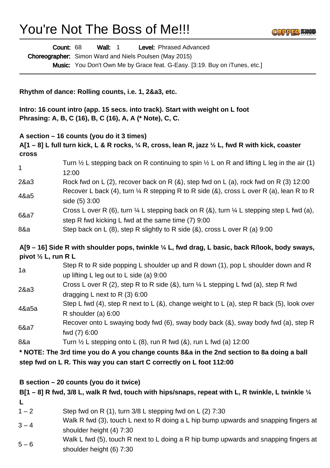## You're Not The Boss of Me!!!

|                                | Count: 68<br>Level: Phrased Advanced<br><b>Wall: 1</b>                                                                                                               |
|--------------------------------|----------------------------------------------------------------------------------------------------------------------------------------------------------------------|
|                                | Choreographer: Simon Ward and Niels Poulsen (May 2015)                                                                                                               |
|                                | Music: You Don't Own Me by Grace feat. G-Easy. [3:19. Buy on iTunes, etc.]                                                                                           |
|                                | Rhythm of dance: Rolling counts, i.e. 1, 2&a3, etc.                                                                                                                  |
|                                | Intro: 16 count intro (app. 15 secs. into track). Start with weight on L foot<br>Phrasing: A, B, C (16), B, C (16), A, A (* Note), C, C.                             |
|                                | A section $-16$ counts (you do it 3 times)<br>A[1 – 8] L full turn kick, L & R rocks, $\frac{1}{4}$ R, cross, lean R, jazz $\frac{1}{2}$ L, fwd R with kick, coaster |
| <b>Cross</b><br>1              | Turn $\frac{1}{2}$ L stepping back on R continuing to spin $\frac{1}{2}$ L on R and lifting L leg in the air (1)<br>12:00                                            |
| 2&a3                           | Rock fwd on L (2), recover back on R (&), step fwd on L (a), rock fwd on R (3) 12:00                                                                                 |
| 4&a5                           | Recover L back (4), turn $\frac{1}{4}$ R stepping R to R side (&), cross L over R (a), lean R to R<br>side (5) 3:00                                                  |
| 6&a7                           | Cross L over R (6), turn $\frac{1}{4}$ L stepping back on R (&), turn $\frac{1}{4}$ L stepping step L fwd (a),<br>step R fwd kicking L fwd at the same time (7) 9:00 |
| 8&a                            | Step back on L $(8)$ , step R slightly to R side $(8)$ , cross L over R $(a)$ 9:00                                                                                   |
| pivot $\frac{1}{2}$ L, run R L | A[9 - 16] Side R with shoulder pops, twinkle 1/4 L, fwd drag, L basic, back R/look, body sways,                                                                      |
| 1a                             | Step R to R side popping L shoulder up and R down (1), pop L shoulder down and R<br>up lifting L leg out to L side (a) $9:00$                                        |
| 2&a3                           | Cross L over R (2), step R to R side (&), turn $\frac{1}{4}$ L stepping L fwd (a), step R fwd<br>dragging L next to R $(3)$ 6:00                                     |
| 4&a5a                          | Step L fwd (4), step R next to L (&), change weight to L (a), step R back (5), look over<br>R shoulder (a) 6:00                                                      |
| 6&a7                           | Recover onto L swaying body fwd (6), sway body back (&), sway body fwd (a), step R<br>fwd (7) 6:00                                                                   |
| 8&a                            | Turn $\frac{1}{2}$ L stepping onto L (8), run R fwd (8), run L fwd (a) 12:00                                                                                         |
|                                | * NOTE: The 3rd time you do A you change counts 8&a in the 2nd section to 8a doing a ball                                                                            |
|                                | step fwd on L R. This way you can start C correctly on L foot 112:00                                                                                                 |
|                                | B section $-20$ counts (you do it twice)                                                                                                                             |
|                                | B[1 – 8] R fwd, 3/8 L, walk R fwd, touch with hips/snaps, repeat with L, R twinkle, L twinkle $\frac{1}{4}$                                                          |
| L                              |                                                                                                                                                                      |
| $1 - 2$<br>$3 - 4$             | Step fwd on R $(1)$ , turn 3/8 L stepping fwd on L $(2)$ 7:30<br>Walk R fwd (3), touch L next to R doing a L hip bump upwards and snapping fingers at                |
|                                | shoulder height (4) 7:30<br>Walk L fwd (5), touch R next to L doing a R hip bump upwards and snapping fingers at                                                     |

**COPPER WO** 

 $5 - 6$ shoulder height (6) 7:30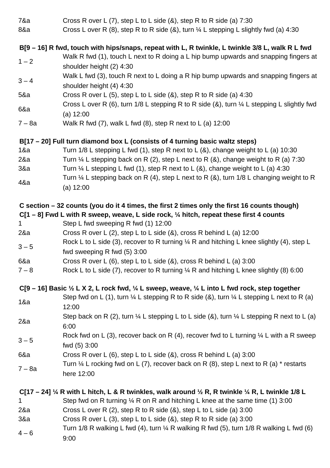| 7&a         | Cross R over L $(7)$ , step L to L side $(8)$ , step R to R side $(a)$ 7:30                                                        |
|-------------|------------------------------------------------------------------------------------------------------------------------------------|
| 8&a         | Cross L over R (8), step R to R side (8), turn $\frac{1}{4}$ L stepping L slightly fwd (a) 4:30                                    |
|             | B[9 – 16] R fwd, touch with hips/snaps, repeat with L, R twinkle, L twinkle 3/8 L, walk R L fwd                                    |
| $1 - 2$     | Walk R fwd (1), touch L next to R doing a L hip bump upwards and snapping fingers at<br>shoulder height (2) 4:30                   |
| $3 - 4$     | Walk L fwd (3), touch R next to L doing a R hip bump upwards and snapping fingers at<br>shoulder height (4) 4:30                   |
| 5&a         | Cross R over L $(5)$ , step L to L side $(8)$ , step R to R side $(a)$ 4:30                                                        |
| 6&a         | Cross L over R (6), turn 1/8 L stepping R to R side (&), turn $\frac{1}{4}$ L stepping L slightly fwd<br>(a) 12:00                 |
| $7 - 8a$    | Walk R fwd $(7)$ , walk L fwd $(8)$ , step R next to L $(a)$ 12:00                                                                 |
|             | B[17 – 20] Full turn diamond box L (consists of 4 turning basic waltz steps)                                                       |
| 18a         | Turn $1/8$ L stepping L fwd (1), step R next to L (&), change weight to L (a) $10:30$                                              |
| 28a         | Turn $\frac{1}{4}$ L stepping back on R (2), step L next to R (&), change weight to R (a) 7:30                                     |
| 38a         | Turn $\frac{1}{4}$ L stepping L fwd (1), step R next to L (&), change weight to L (a) 4:30                                         |
|             | Turn $\frac{1}{4}$ L stepping back on R (4), step L next to R (&), turn 1/8 L changing weight to R                                 |
| 48a         | (a) 12:00                                                                                                                          |
|             | C section – 32 counts (you do it 4 times, the first 2 times only the first 16 counts though)                                       |
|             | $C[1 - 8]$ Fwd L with R sweep, weave, L side rock, $\frac{1}{4}$ hitch, repeat these first 4 counts                                |
| $\mathbf 1$ | Step L fwd sweeping R fwd (1) 12:00                                                                                                |
|             |                                                                                                                                    |
| 28a         | Cross R over L (2), step L to L side (&), cross R behind L (a) 12:00                                                               |
| $3 - 5$     | Rock L to L side (3), recover to R turning $\frac{1}{4}$ R and hitching L knee slightly (4), step L<br>fwd sweeping R fwd (5) 3:00 |
| 6&a         | Cross R over L $(6)$ , step L to L side $(8)$ , cross R behind L $(a)$ 3:00                                                        |
| $7 - 8$     | Rock L to L side (7), recover to R turning $\frac{1}{4}$ R and hitching L knee slightly (8) 6:00                                   |
|             | C[9 – 16] Basic $\frac{1}{2}$ L X 2, L rock fwd, $\frac{1}{4}$ L sweep, weave, $\frac{1}{4}$ L into L fwd rock, step together      |
|             | Step fwd on L (1), turn $\frac{1}{4}$ L stepping R to R side (&), turn $\frac{1}{4}$ L stepping L next to R (a)                    |
| 1&a         | 12:00                                                                                                                              |
| 28a         | Step back on R (2), turn $\frac{1}{4}$ L stepping L to L side (&), turn $\frac{1}{4}$ L stepping R next to L (a)<br>6:00           |
| $3 - 5$     | Rock fwd on L (3), recover back on R (4), recover fwd to L turning $\frac{1}{4}$ L with a R sweep<br>fwd (5) 3:00                  |
| 6&a         | Cross R over L (6), step L to L side (8), cross R behind L (a) $3:00$                                                              |
| $7 - 8a$    | Turn $\frac{1}{4}$ L rocking fwd on L (7), recover back on R (8), step L next to R (a) * restarts<br>here 12:00                    |
|             | C[17 – 24] $\frac{1}{4}$ R with L hitch, L & R twinkles, walk around $\frac{1}{2}$ R, R twinkle $\frac{1}{4}$ R, L twinkle 1/8 L   |
| 1.          | Step fwd on R turning $\frac{1}{4}$ R on R and hitching L knee at the same time (1) 3:00                                           |
| 28a         | Cross L over R $(2)$ , step R to R side $(8)$ , step L to L side $(a)$ 3:00                                                        |
| 38a         | Cross R over L (3), step L to L side (&), step R to R side (a) 3:00                                                                |
|             | Turn 1/8 R walking L fwd (4), turn $\frac{1}{4}$ R walking R fwd (5), turn 1/8 R walking L fwd (6)                                 |
| $4 - 6$     | 9:00                                                                                                                               |